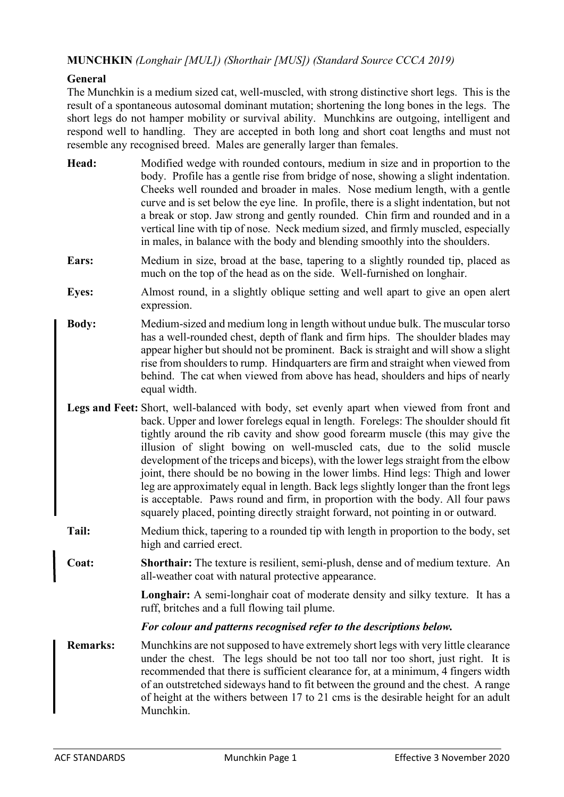# **MUNCHKIN** *(Longhair [MUL]) (Shorthair [MUS]) (Standard Source CCCA 2019)*

### **General**

The Munchkin is a medium sized cat, well-muscled, with strong distinctive short legs. This is the result of a spontaneous autosomal dominant mutation; shortening the long bones in the legs. The short legs do not hamper mobility or survival ability. Munchkins are outgoing, intelligent and respond well to handling. They are accepted in both long and short coat lengths and must not resemble any recognised breed. Males are generally larger than females.

- **Head:** Modified wedge with rounded contours, medium in size and in proportion to the body. Profile has a gentle rise from bridge of nose, showing a slight indentation. Cheeks well rounded and broader in males. Nose medium length, with a gentle curve and is set below the eye line. In profile, there is a slight indentation, but not a break or stop. Jaw strong and gently rounded. Chin firm and rounded and in a vertical line with tip of nose. Neck medium sized, and firmly muscled, especially in males, in balance with the body and blending smoothly into the shoulders.
- **Ears:** Medium in size, broad at the base, tapering to a slightly rounded tip, placed as much on the top of the head as on the side. Well-furnished on longhair.
- **Eyes:** Almost round, in a slightly oblique setting and well apart to give an open alert expression.
- **Body:** Medium-sized and medium long in length without undue bulk. The muscular torso has a well-rounded chest, depth of flank and firm hips. The shoulder blades may appear higher but should not be prominent. Back is straight and will show a slight rise from shoulders to rump. Hindquarters are firm and straight when viewed from behind. The cat when viewed from above has head, shoulders and hips of nearly equal width.
- **Legs and Feet:** Short, well-balanced with body, set evenly apart when viewed from front and back. Upper and lower forelegs equal in length. Forelegs: The shoulder should fit tightly around the rib cavity and show good forearm muscle (this may give the illusion of slight bowing on well-muscled cats, due to the solid muscle development of the triceps and biceps), with the lower legs straight from the elbow joint, there should be no bowing in the lower limbs. Hind legs: Thigh and lower leg are approximately equal in length. Back legs slightly longer than the front legs is acceptable. Paws round and firm, in proportion with the body. All four paws squarely placed, pointing directly straight forward, not pointing in or outward.
- **Tail:** Medium thick, tapering to a rounded tip with length in proportion to the body, set high and carried erect.
- **Coat: Shorthair:** The texture is resilient, semi-plush, dense and of medium texture. An all-weather coat with natural protective appearance.

**Longhair:** A semi-longhair coat of moderate density and silky texture. It has a ruff, britches and a full flowing tail plume.

#### *For colour and patterns recognised refer to the descriptions below.*

**Remarks:** Munchkins are not supposed to have extremely short legs with very little clearance under the chest. The legs should be not too tall nor too short, just right. It is recommended that there is sufficient clearance for, at a minimum, 4 fingers width of an outstretched sideways hand to fit between the ground and the chest. A range of height at the withers between 17 to 21 cms is the desirable height for an adult Munchkin.